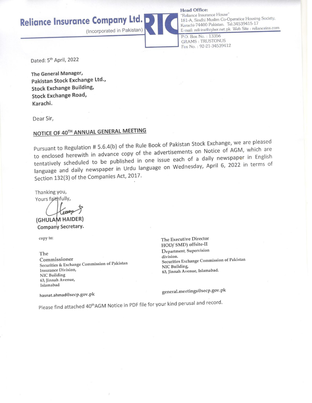**Reliance Insurance Company Ltd.** 

(Incorporated in Pakistan)

**Head Office:** 

"Reliance Insurance House" 181-A, Sindhi Muslim Co-Operatice Housing Society, Karachi-74400 Pakistan. Tel: 34539415-17 E-mail: reli-ins@cyber.net.pk Web Site : relianceins.com

P.O. Box No. : 13356 **GRAMS: TRUSTONUS** Fax No.: 92-21-34539412

Dated: 5<sup>th</sup> April, 2022

The General Manager, Pakistan Stock Exchange Ltd., **Stock Exchange Building, Stock Exchange Road,** Karachi.

Dear Sir,

# NOTICE OF 40TH ANNUAL GENERAL MEETING

Pursuant to Regulation # 5.6.4(b) of the Rule Book of Pakistan Stock Exchange, we are pleased to enclosed herewith in advance copy of the advertisements on Notice of AGM, which are tentatively scheduled to be published in one issue each of a daily newspaper in English language and daily newspaper in Urdu language on Wednesday, April 6, 2022 in terms of Section 132(3) of the Companies Act, 2017.

Thanking you, Yours faithfully,

(GHULAM HAIDER)

Company Secretary.

copy to:

The Commissioner Securities & Exchange Commission of Pakistan **Insurance Division, NIC Building** 63, Jinnah Avenue, Islamabad

The Executive Director HOD/ SMD) offsite-II Department, Supervision division. Securities Exchange Commission of Pakistan NIC Building, 63, Jinnah Avenue, Islamabad.

hasnat.ahmad@secp.gov.pk

general.meetings@secp.gov.pk

Please find attached 40<sup>th</sup>AGM Notice in PDF file for your kind perusal and record.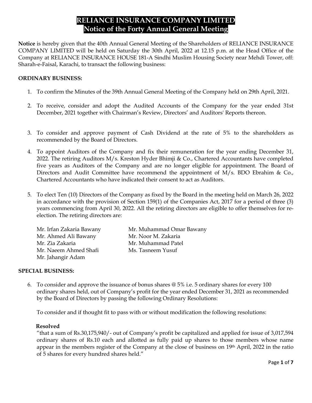# **RELIANCE INSURANCE COMPANY LIMITED Notice of the Forty Annual General Meeting**

**Notice** is hereby given that the 40th Annual General Meeting of the Shareholders of RELIANCE INSURANCE COMPANY LIMITED will be held on Saturday the 30th April, 2022 at 12.15 p.m. at the Head Office of the Company at RELIANCE INSURANCE HOUSE 181-A Sindhi Muslim Housing Society near Mehdi Tower, off: Sharah-e-Faisal, Karachi, to transact the following business:

#### **ORDINARY BUSINESS:**

- 1. To confirm the Minutes of the 39th Annual General Meeting of the Company held on 29th April, 2021.
- 2. To receive, consider and adopt the Audited Accounts of the Company for the year ended 31st December, 2021 together with Chairman's Review, Directors' and Auditors' Reports thereon.
- 3. To consider and approve payment of Cash Dividend at the rate of 5% to the shareholders as recommended by the Board of Directors.
- 4. To appoint Auditors of the Company and fix their remuneration for the year ending December 31, 2022. The retiring Auditors M/s. Kreston Hyder Bhimji & Co., Chartered Accountants have completed five years as Auditors of the Company and are no longer eligible for appointment. The Board of Directors and Audit Committee have recommend the appointment of  $M/s$ . BDO Ebrahim & Co., Chartered Accountants who have indicated their consent to act as Auditors.
- 5. To elect Ten (10) Directors of the Company as fixed by the Board in the meeting held on March 26, 2022 in accordance with the provision of Section 159(1) of the Companies Act, 2017 for a period of three (3) years commencing from April 30, 2022. All the retiring directors are eligible to offer themselves for reelection. The retiring directors are:

Mr. Ahmed Ali Bawany Mr. Noor M. Zakaria Mr. Zia Zakaria **Mr. Muhammad Patel** Mr. Naeem Ahmed Shafi Ms. Tasneem Yusuf Mr. Jahangir Adam

Mr. Irfan Zakaria Bawany Mr. Muhammad Omar Bawany

# **SPECIAL BUSINESS:**

6. To consider and approve the issuance of bonus shares @ 5% i.e. 5 ordinary shares for every 100 ordinary shares held, out of Company's profit for the year ended December 31, 2021 as recommended by the Board of Directors by passing the following Ordinary Resolutions:

To consider and if thought fit to pass with or without modification the following resolutions:

#### **Resolved**

 "that a sum of Rs.30,175,940/- out of Company's profit be capitalized and applied for issue of 3,017,594 ordinary shares of Rs.10 each and allotted as fully paid up shares to those members whose name appear in the members register of the Company at the close of business on 19th April, 2022 in the ratio of 5 shares for every hundred shares held."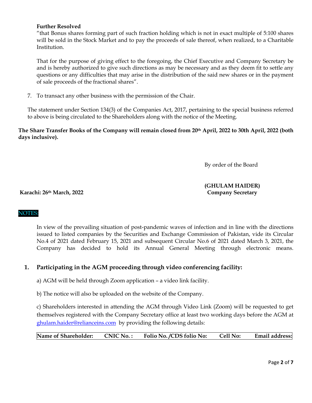#### **Further Resolved**

"that Bonus shares forming part of such fraction holding which is not in exact multiple of 5:100 shares will be sold in the Stock Market and to pay the proceeds of sale thereof, when realized, to a Charitable Institution.

That for the purpose of giving effect to the foregoing, the Chief Executive and Company Secretary be and is hereby authorized to give such directions as may be necessary and as they deem fit to settle any questions or any difficulties that may arise in the distribution of the said new shares or in the payment of sale proceeds of the fractional shares".

7. To transact any other business with the permission of the Chair.

The statement under Section 134(3) of the Companies Act, 2017, pertaining to the special business referred to above is being circulated to the Shareholders along with the notice of the Meeting.

**The Share Transfer Books of the Company will remain closed from 20th April, 2022 to 30th April, 2022 (both days inclusive).** 

By order of the Board

# **(GHULAM HAIDER)**

**Karachi: 26th March, 2022 Company Secretary**

# NOTES:

In view of the prevailing situation of post-pandemic waves of infection and in line with the directions issued to listed companies by the Securities and Exchange Commission of Pakistan, vide its Circular No.4 of 2021 dated February 15, 2021 and subsequent Circular No.6 of 2021 dated March 3, 2021, the Company has decided to hold its Annual General Meeting through electronic means.

# **1. Participating in the AGM proceeding through video conferencing facility:**

a) AGM will be held through Zoom application – a video link facility.

b) The notice will also be uploaded on the website of the Company.

c) Shareholders interested in attending the AGM through Video Link (Zoom) will be requested to get themselves registered with the Company Secretary office at least two working days before the AGM at ghulam.haider@relianceins.com by providing the following details:

| Name of Shareholder:<br>$CNIC$ No. $:$ | Folio No. /CDS folio No: | <b>Cell No:</b> | Email address: |
|----------------------------------------|--------------------------|-----------------|----------------|
|----------------------------------------|--------------------------|-----------------|----------------|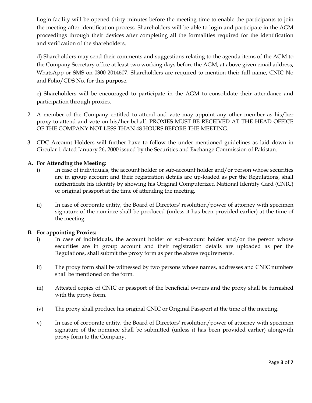Login facility will be opened thirty minutes before the meeting time to enable the participants to join the meeting after identification process. Shareholders will be able to login and participate in the AGM proceedings through their devices after completing all the formalities required for the identification and verification of the shareholders.

d) Shareholders may send their comments and suggestions relating to the agenda items of the AGM to the Company Secretary office at least two working days before the AGM, at above given email address, WhatsApp or SMS on 0300-2014607. Shareholders are required to mention their full name, CNIC No and Folio/CDS No. for this purpose.

e) Shareholders will be encouraged to participate in the AGM to consolidate their attendance and participation through proxies.

- 2. A member of the Company entitled to attend and vote may appoint any other member as his/her proxy to attend and vote on his/her behalf. PROXIES MUST BE RECEIVED AT THE HEAD OFFICE OF THE COMPANY NOT LESS THAN 48 HOURS BEFORE THE MEETING.
- 3. CDC Account Holders will further have to follow the under mentioned guidelines as laid down in Circular 1 dated January 26, 2000 issued by the Securities and Exchange Commission of Pakistan.

# **A. For Attending the Meeting:**

- i) In case of individuals, the account holder or sub-account holder and/or person whose securities are in group account and their registration details are up-loaded as per the Regulations, shall authenticate his identity by showing his Original Computerized National Identity Card (CNIC) or original passport at the time of attending the meeting.
- ii) In case of corporate entity, the Board of Directors' resolution/power of attorney with specimen signature of the nominee shall be produced (unless it has been provided earlier) at the time of the meeting.

# **B. For appointing Proxies:**

- i) In case of individuals, the account holder or sub-account holder and/or the person whose securities are in group account and their registration details are uploaded as per the Regulations, shall submit the proxy form as per the above requirements.
- ii) The proxy form shall be witnessed by two persons whose names, addresses and CNIC numbers shall be mentioned on the form.
- iii) Attested copies of CNIC or passport of the beneficial owners and the proxy shall be furnished with the proxy form.
- iv) The proxy shall produce his original CNIC or Original Passport at the time of the meeting.
- v) In case of corporate entity, the Board of Directors' resolution/power of attorney with specimen signature of the nominee shall be submitted (unless it has been provided earlier) alongwith proxy form to the Company.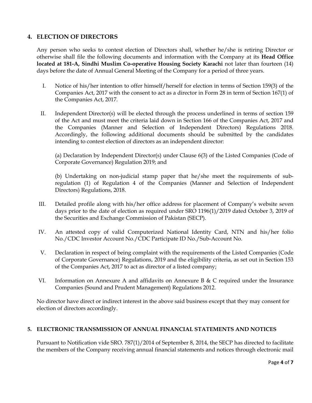# **4. ELECTION OF DIRECTORS**

Any person who seeks to contest election of Directors shall, whether he/she is retiring Director or otherwise shall file the following documents and information with the Company at its **Head Office located at 181-A, Sindhi Muslim Co-operative Housing Society Karachi** not later than fourteen (14) days before the date of Annual General Meeting of the Company for a period of three years.

- I. Notice of his/her intention to offer himself/herself for election in terms of Section 159(3) of the Companies Act, 2017 with the consent to act as a director in Form 28 in term of Section 167(1) of the Companies Act, 2017.
- II. Independent Director(s) will be elected through the process underlined in terms of section 159 of the Act and must meet the criteria laid down in Section 166 of the Companies Act, 2017 and the Companies (Manner and Selection of Independent Directors) Regulations 2018. Accordingly, the following additional documents should be submitted by the candidates intending to contest election of directors as an independent director:

(a) Declaration by Independent Director(s) under Clause 6(3) of the Listed Companies (Code of Corporate Governance) Regulation 2019; and

(b) Undertaking on non-judicial stamp paper that he/she meet the requirements of subregulation (1) of Regulation 4 of the Companies (Manner and Selection of Independent Directors) Regulations, 2018.

- III. Detailed profile along with his/her office address for placement of Company's website seven days prior to the date of election as required under SRO 1196(1)/2019 dated October 3, 2019 of the Securities and Exchange Commission of Pakistan (SECP).
- IV. An attested copy of valid Computerized National Identity Card, NTN and his/her folio No./CDC Investor Account No./CDC Participate ID No./Sub-Account No.
- V. Declaration in respect of being complaint with the requirements of the Listed Companies (Code of Corporate Governance) Regulations, 2019 and the eligibility criteria, as set out in Section 153 of the Companies Act, 2017 to act as director of a listed company;
- VI. Information on Annexure A and affidavits on Annexure B  $\&$  C required under the Insurance Companies (Sound and Prudent Management) Regulations 2012.

No director have direct or indirect interest in the above said business except that they may consent for election of directors accordingly.

# **5. ELECTRONIC TRANSMISSION OF ANNUAL FINANCIAL STATEMENTS AND NOTICES**

Pursuant to Notification vide SRO. 787(1)/2014 of September 8, 2014, the SECP has directed to facilitate the members of the Company receiving annual financial statements and notices through electronic mail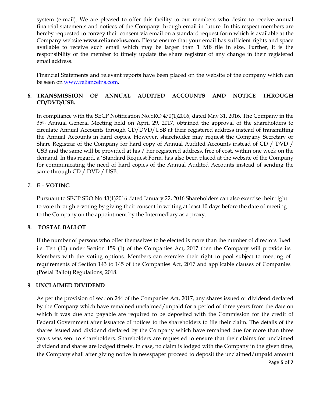system (e-mail). We are pleased to offer this facility to our members who desire to receive annual financial statements and notices of the Company through email in future. In this respect members are hereby requested to convey their consent via email on a standard request form which is available at the Company website **www.relianceins.com.** Please ensure that your email has sufficient rights and space available to receive such email which may be larger than 1 MB file in size. Further, it is the responsibility of the member to timely update the share registrar of any change in their registered email address.

Financial Statements and relevant reports have been placed on the website of the company which can be seen on www.relianceins.com.

#### **6. TRANSMISSION OF ANNUAL AUDITED ACCOUNTS AND NOTICE THROUGH CD/DVD/USB.**

In compliance with the SECP Notification No.SRO 470(1)2016, dated May 31, 2016. The Company in the 35th Annual General Meeting held on April 29, 2017, obtained the approval of the shareholders to circulate Annual Accounts through CD/DVD/USB at their registered address instead of transmitting the Annual Accounts in hard copies. However, shareholder may request the Company Secretary or Share Registrar of the Company for hard copy of Annual Audited Accounts instead of CD / DVD / USB and the same will be provided at his / her registered address, free of cost, within one week on the demand. In this regard, a 'Standard Request Form, has also been placed at the website of the Company for communicating the need of hard copies of the Annual Audited Accounts instead of sending the same through CD / DVD / USB.

# **7. E – VOTING**

Pursuant to SECP SRO No.43(1)2016 dated January 22, 2016 Shareholders can also exercise their right to vote through e-voting by giving their consent in writing at least 10 days before the date of meeting to the Company on the appointment by the Intermediary as a proxy.

#### **8. POSTAL BALLOT**

If the number of persons who offer themselves to be elected is more than the number of directors fixed i.e. Ten (10) under Section 159 (1) of the Companies Act, 2017 then the Company will provide its Members with the voting options. Members can exercise their right to pool subject to meeting of requirements of Section 143 to 145 of the Companies Act, 2017 and applicable clauses of Companies (Postal Ballot) Regulations, 2018.

#### **9 UNCLAIMED DIVIDEND**

As per the provision of section 244 of the Companies Act, 2017, any shares issued or dividend declared by the Company which have remained unclaimed/unpaid for a period of three years from the date on which it was due and payable are required to be deposited with the Commission for the credit of Federal Government after issuance of notices to the shareholders to file their claim. The details of the shares issued and dividend declared by the Company which have remained due for more than three years was sent to shareholders. Shareholders are requested to ensure that their claims for unclaimed dividend and shares are lodged timely. In case, no claim is lodged with the Company in the given time, the Company shall after giving notice in newspaper proceed to deposit the unclaimed/unpaid amount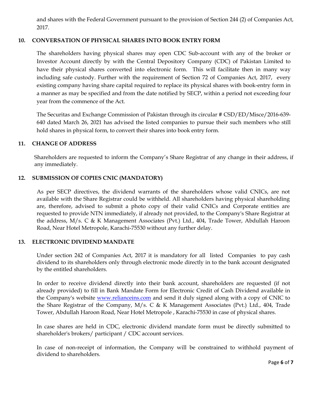and shares with the Federal Government pursuant to the provision of Section 244 (2) of Companies Act, 2017.

#### **10. CONVERSATION OF PHYSICAL SHARES INTO BOOK ENTRY FORM**

The shareholders having physical shares may open CDC Sub-account with any of the broker or Investor Account directly by with the Central Depository Company (CDC) of Pakistan Limited to have their physical shares converted into electronic form. This will facilitate then in many way including safe custody. Further with the requirement of Section 72 of Companies Act, 2017, every existing company having share capital required to replace its physical shares with book-entry form in a manner as may be specified and from the date notified by SECP, within a period not exceeding four year from the commence of the Act.

The Securitas and Exchange Commission of Pakistan through its circular # CSD/ED/Misce/2016-639- 640 dated March 26, 2021 has advised the listed companies to pursue their such members who still hold shares in physical form, to convert their shares into book entry form.

#### **11. CHANGE OF ADDRESS**

Shareholders are requested to inform the Company's Share Registrar of any change in their address, if any immediately.

#### **12. SUBMISSION OF COPIES CNIC (MANDATORY)**

As per SECP directives, the dividend warrants of the shareholders whose valid CNICs, are not available with the Share Registrar could be withheld. All shareholders having physical shareholding are, therefore, advised to submit a photo copy of their valid CNICs and Corporate entities are requested to provide NTN immediately, if already not provided, to the Company's Share Registrar at the address, M/s. C & K Management Associates (Pvt.) Ltd., 404, Trade Tower, Abdullah Haroon Road, Near Hotel Metropole, Karachi-75530 without any further delay.

# **13. ELECTRONIC DIVIDEND MANDATE**

Under section 242 of Companies Act, 2017 it is mandatory for all listed Companies to pay cash dividend to its shareholders only through electronic mode directly in to the bank account designated by the entitled shareholders.

In order to receive dividend directly into their bank account, shareholders are requested (if not already provided) to fill in Bank Mandate Form for Electronic Credit of Cash Dividend available in the Company's website www.relianceins.com and send it duly signed along with a copy of CNIC to the Share Registrar of the Company, M/s. C & K Management Associates (Pvt.) Ltd., 404, Trade Tower, Abdullah Haroon Road, Near Hotel Metropole , Karachi-75530 in case of physical shares.

In case shares are held in CDC, electronic dividend mandate form must be directly submitted to shareholder's brokers/ participant / CDC account services.

In case of non-receipt of information, the Company will be constrained to withhold payment of dividend to shareholders.